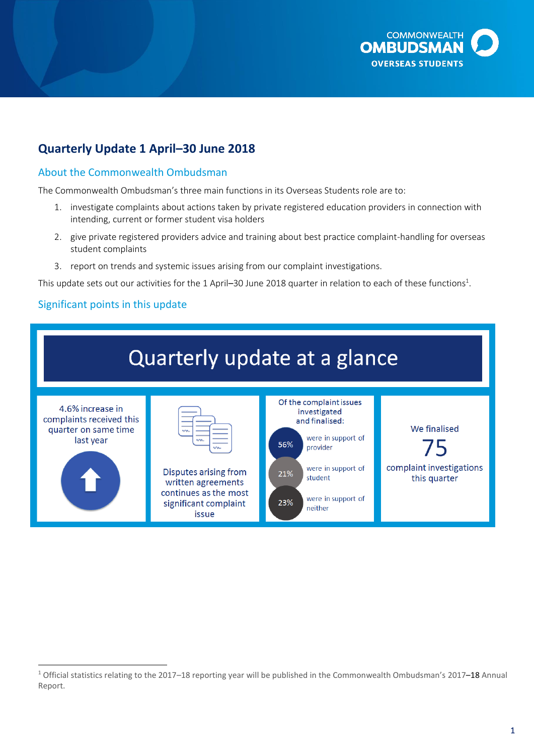

# **Quarterly Update 1 April–30 June 2018**

#### About the Commonwealth Ombudsman

The Commonwealth Ombudsman's three main functions in its Overseas Students role are to:

- 1. investigate complaints about actions taken by private registered education providers in connection with intending, current or former student visa holders
- 2. give private registered providers advice and training about best practice complaint-handling for overseas student complaints
- 3. report on trends and systemic issues arising from our complaint investigations.

This update sets out our activities for the 1 April—30 June 2018 quarter in relation to each of these functions<sup>1</sup>.

#### Significant points in this update

 $\overline{a}$ 



<sup>&</sup>lt;sup>1</sup> Official statistics relating to the 2017–18 reporting year will be published in the Commonwealth Ombudsman's 2017–18 Annual Report.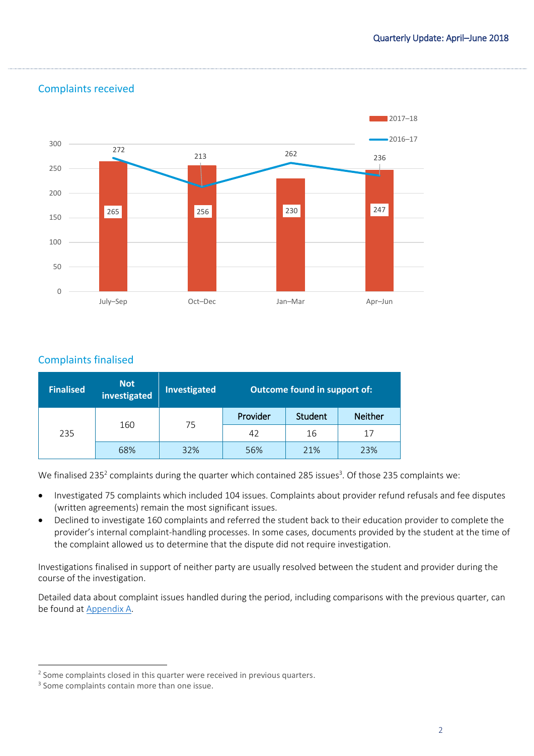

## Complaints received

## Complaints finalised

| <b>Finalised</b> | <b>Not</b><br>investigated | <b>Investigated</b> | <b>Outcome found in support of:</b> |         |                |
|------------------|----------------------------|---------------------|-------------------------------------|---------|----------------|
| 235              | 160                        | 75                  | Provider                            | Student | <b>Neither</b> |
|                  |                            |                     | 42                                  | 16      | 17             |
|                  | 68%                        | 32%                 | 56%                                 | 21%     | 23%            |

We finalised 235<sup>2</sup> complaints during the quarter which contained 285 issues<sup>3</sup>. Of those 235 complaints we:

- Investigated 75 complaints which included 104 issues. Complaints about provider refund refusals and fee disputes (written agreements) remain the most significant issues.
- Declined to investigate 160 complaints and referred the student back to their education provider to complete the provider's internal complaint-handling processes. In some cases, documents provided by the student at the time of the complaint allowed us to determine that the dispute did not require investigation.

Investigations finalised in support of neither party are usually resolved between the student and provider during the course of the investigation.

Detailed data about complaint issues handled during the period, including comparisons with the previous quarter, can be found at Appendix A.

 $\overline{a}$ <sup>2</sup> Some complaints closed in this quarter were received in previous quarters.

<sup>&</sup>lt;sup>3</sup> Some complaints contain more than one issue.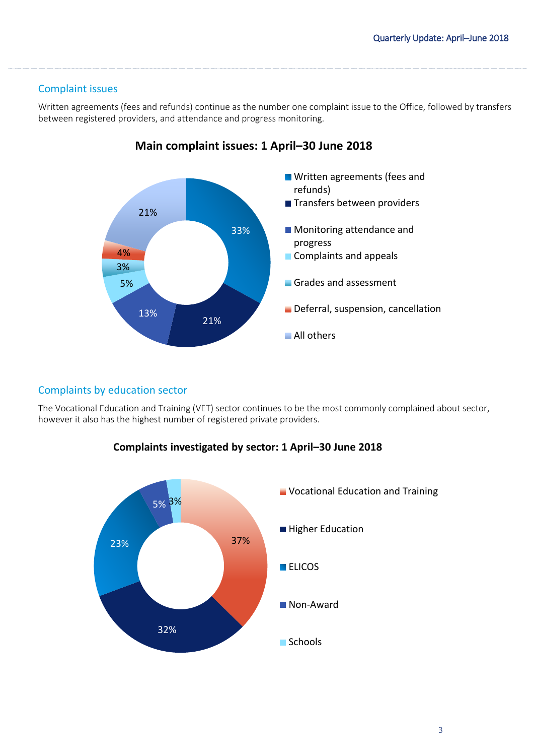#### Complaint issues

Written agreements (fees and refunds) continue as the number one complaint issue to the Office, followed by transfers between registered providers, and attendance and progress monitoring.



## **Main complaint issues: 1 April–30 June 2018**

#### Complaints by education sector

The Vocational Education and Training (VET) sector continues to be the most commonly complained about sector, however it also has the highest number of registered private providers.



#### **Complaints investigated by sector: 1 April–30 June 2018**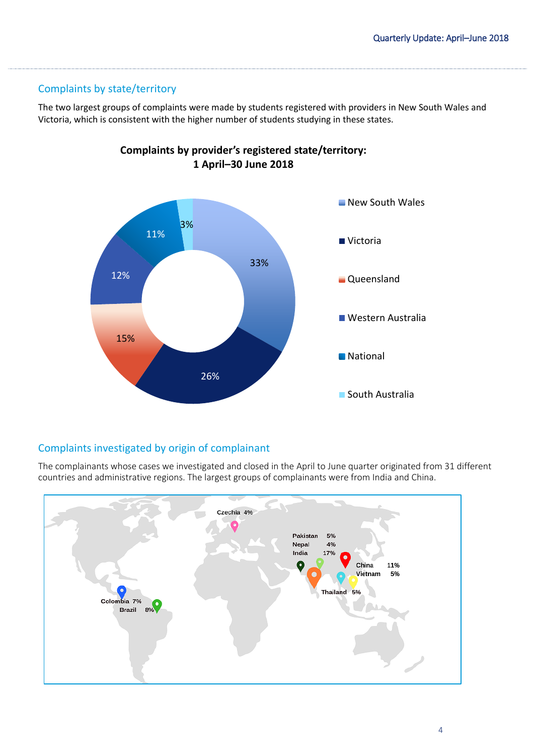## Complaints by state/territory

The two largest groups of complaints were made by students registered with providers in New South Wales and Victoria, which is consistent with the higher number of students studying in these states.



**Complaints by provider's registered state/territory: 1 April–30 June 2018**

## Complaints investigated by origin of complainant

The complainants whose cases we investigated and closed in the April to June quarter originated from 31 different countries and administrative regions. The largest groups of complainants were from India and China.

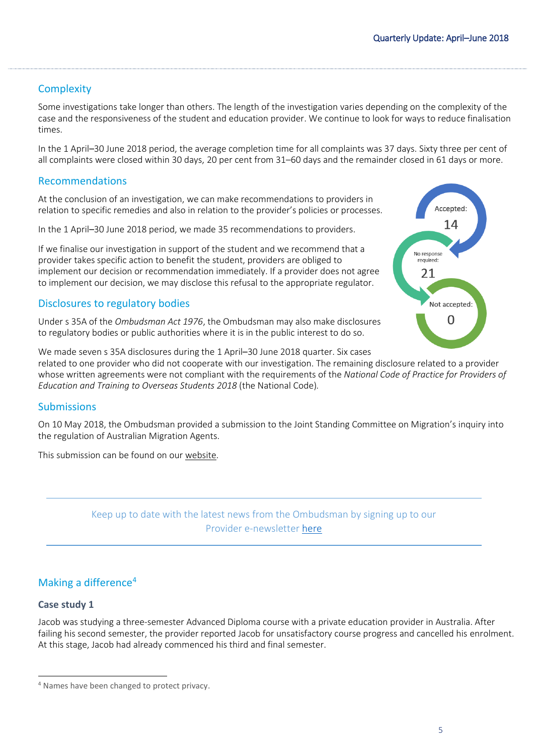## **Complexity**

Some investigations take longer than others. The length of the investigation varies depending on the complexity of the case and the responsiveness of the student and education provider. We continue to look for ways to reduce finalisation times.

In the 1 April–30 June 2018 period, the average completion time for all complaints was 37 days. Sixty three per cent of all complaints were closed within 30 days, 20 per cent from 31–60 days and the remainder closed in 61 days or more.

#### Recommendations

At the conclusion of an investigation, we can make recommendations to providers in relation to specific remedies and also in relation to the provider's policies or processes.

In the 1 April–30 June 2018 period, we made 35 recommendations to providers.

If we finalise our investigation in support of the student and we recommend that a provider takes specific action to benefit the student, providers are obliged to implement our decision or recommendation immediately. If a provider does not agree to implement our decision, we may disclose this refusal to the appropriate regulator.

#### Disclosures to regulatory bodies

Under s 35A of the *Ombudsman Act 1976*, the Ombudsman may also make disclosures to regulatory bodies or public authorities where it is in the public interest to do so.



We made seven s 35A disclosures during the 1 April–30 June 2018 quarter. Six cases related to one provider who did not cooperate with our investigation. The remaining disclosure related to a provider whose written agreements were not compliant with the requirements of the *National Code of Practice for Providers of Education and Training to Overseas Students 2018* (the National Code)*.*

#### Submissions

On 10 May 2018, the Ombudsman provided a submission to the Joint Standing Committee on Migration's inquiry into the regulation of Australian Migration Agents.

This submission can be found on ou[r website.](http://www.ombudsman.gov.au/about/overseas-students/oso-publications#submissions)

Keep up to date with the latest news from the Ombudsman by signing up to our Provider e-newsletter [here](http://www.ombudsman.gov.au/news-and-media/e-bulletins/overseas-student-provider-e-news/subscribe-to-the-overseas-student-ombudsman-provider-e-newsletter)

## Making a difference<sup>4</sup>

#### **Case study 1**

 $\overline{a}$ 

Jacob was studying a three-semester Advanced Diploma course with a private education provider in Australia. After failing his second semester, the provider reported Jacob for unsatisfactory course progress and cancelled his enrolment. At this stage, Jacob had already commenced his third and final semester.

<sup>4</sup> Names have been changed to protect privacy.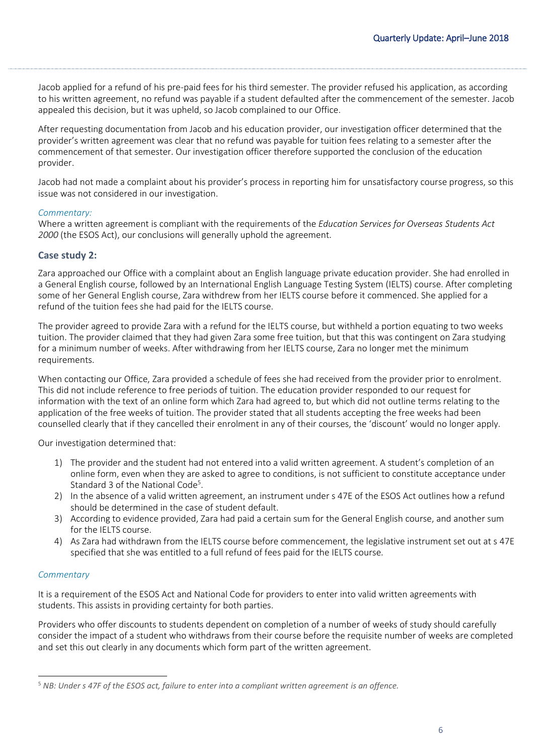Jacob applied for a refund of his pre-paid fees for his third semester. The provider refused his application, as according to his written agreement, no refund was payable if a student defaulted after the commencement of the semester. Jacob appealed this decision, but it was upheld, so Jacob complained to our Office.

After requesting documentation from Jacob and his education provider, our investigation officer determined that the provider's written agreement was clear that no refund was payable for tuition fees relating to a semester after the commencement of that semester. Our investigation officer therefore supported the conclusion of the education provider.

Jacob had not made a complaint about his provider's process in reporting him for unsatisfactory course progress, so this issue was not considered in our investigation.

#### *Commentary:*

Where a written agreement is compliant with the requirements of the *Education Services for Overseas Students Act 2000* (the ESOS Act), our conclusions will generally uphold the agreement.

#### **Case study 2:**

Zara approached our Office with a complaint about an English language private education provider. She had enrolled in a General English course, followed by an International English Language Testing System (IELTS) course. After completing some of her General English course, Zara withdrew from her IELTS course before it commenced. She applied for a refund of the tuition fees she had paid for the IELTS course.

The provider agreed to provide Zara with a refund for the IELTS course, but withheld a portion equating to two weeks tuition. The provider claimed that they had given Zara some free tuition, but that this was contingent on Zara studying for a minimum number of weeks. After withdrawing from her IELTS course, Zara no longer met the minimum requirements.

When contacting our Office, Zara provided a schedule of fees she had received from the provider prior to enrolment. This did not include reference to free periods of tuition. The education provider responded to our request for information with the text of an online form which Zara had agreed to, but which did not outline terms relating to the application of the free weeks of tuition. The provider stated that all students accepting the free weeks had been counselled clearly that if they cancelled their enrolment in any of their courses, the 'discount' would no longer apply.

Our investigation determined that:

- 1) The provider and the student had not entered into a valid written agreement. A student's completion of an online form, even when they are asked to agree to conditions, is not sufficient to constitute acceptance under Standard 3 of the National Code<sup>5</sup>.
- 2) In the absence of a valid written agreement, an instrument under s 47E of the ESOS Act outlines how a refund should be determined in the case of student default.
- 3) According to evidence provided, Zara had paid a certain sum for the General English course, and another sum for the IELTS course.
- 4) As Zara had withdrawn from the IELTS course before commencement, the legislative instrument set out at s 47E specified that she was entitled to a full refund of fees paid for the IELTS course.

#### *Commentary*

It is a requirement of the ESOS Act and National Code for providers to enter into valid written agreements with students. This assists in providing certainty for both parties.

Providers who offer discounts to students dependent on completion of a number of weeks of study should carefully consider the impact of a student who withdraws from their course before the requisite number of weeks are completed and set this out clearly in any documents which form part of the written agreement.

 $\overline{a}$ <sup>5</sup> *NB: Under s 47F of the ESOS act, failure to enter into a compliant written agreement is an offence.*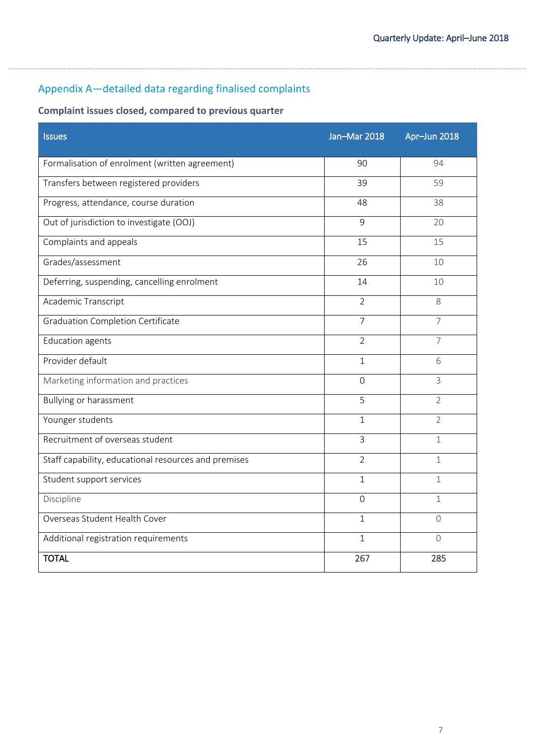# Appendix A—detailed data regarding finalised complaints

# **Complaint issues closed, compared to previous quarter**

| <b>Issues</b>                                        | Jan-Mar 2018   | Apr-Jun 2018   |
|------------------------------------------------------|----------------|----------------|
| Formalisation of enrolment (written agreement)       | 90             | 94             |
| Transfers between registered providers               | 39             | 59             |
| Progress, attendance, course duration                | 48             | 38             |
| Out of jurisdiction to investigate (OOJ)             | 9              | 20             |
| Complaints and appeals                               | 15             | 15             |
| Grades/assessment                                    | 26             | 10             |
| Deferring, suspending, cancelling enrolment          | 14             | 10             |
| Academic Transcript                                  | $\overline{2}$ | 8              |
| <b>Graduation Completion Certificate</b>             | $\overline{7}$ | 7              |
| <b>Education agents</b>                              | $\overline{2}$ | $\overline{7}$ |
| Provider default                                     | $\mathbf 1$    | 6              |
| Marketing information and practices                  | $\Omega$       | 3              |
| <b>Bullying or harassment</b>                        | 5              | $\overline{2}$ |
| Younger students                                     | $\mathbf{1}$   | $\overline{2}$ |
| Recruitment of overseas student                      | 3              | 1              |
| Staff capability, educational resources and premises | $\overline{2}$ | $\mathbf 1$    |
| Student support services                             | $\mathbf{1}$   | $\mathbf 1$    |
| Discipline                                           | $\Omega$       | $\mathbf 1$    |
| Overseas Student Health Cover                        | $\mathbf{1}$   | $\Omega$       |
| Additional registration requirements                 | 1              | $\Omega$       |
| <b>TOTAL</b>                                         | 267            | 285            |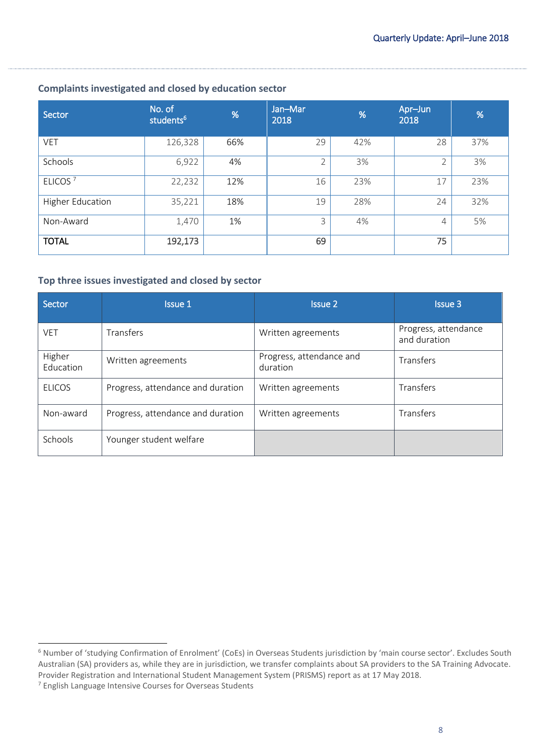#### **Complaints investigated and closed by education sector**

| Sector                  | No. of<br>students <sup>6</sup> | %   | Jan-Mar<br>2018 | %   | Apr-Jun<br>2018 | %   |
|-------------------------|---------------------------------|-----|-----------------|-----|-----------------|-----|
| <b>VET</b>              | 126,328                         | 66% | 29              | 42% | 28              | 37% |
| Schools                 | 6,922                           | 4%  | $\mathcal{P}$   | 3%  | $\overline{2}$  | 3%  |
| ELICOS <sup>7</sup>     | 22,232                          | 12% | 16              | 23% | 17              | 23% |
| <b>Higher Education</b> | 35,221                          | 18% | 19              | 28% | 24              | 32% |
| Non-Award               | 1,470                           | 1%  | 3               | 4%  | $\overline{4}$  | 5%  |
| <b>TOTAL</b>            | 192,173                         |     | 69              |     | 75              |     |

#### **Top three issues investigated and closed by sector**

| Sector              | Issue 1                           | <b>Issue 2</b>                       | <b>Issue 3</b>                       |
|---------------------|-----------------------------------|--------------------------------------|--------------------------------------|
| <b>VET</b>          | Transfers                         | Written agreements                   | Progress, attendance<br>and duration |
| Higher<br>Education | Written agreements                | Progress, attendance and<br>duration | Transfers                            |
| <b>ELICOS</b>       | Progress, attendance and duration | Written agreements                   | Transfers                            |
| Non-award           | Progress, attendance and duration | Written agreements                   | Transfers                            |
| Schools             | Younger student welfare           |                                      |                                      |

 $\overline{a}$ 

<sup>6</sup> Number of 'studying Confirmation of Enrolment' (CoEs) in Overseas Students jurisdiction by 'main course sector'. Excludes South Australian (SA) providers as, while they are in jurisdiction, we transfer complaints about SA providers to the SA Training Advocate. Provider Registration and International Student Management System (PRISMS) report as at 17 May 2018.

<sup>7</sup> English Language Intensive Courses for Overseas Students